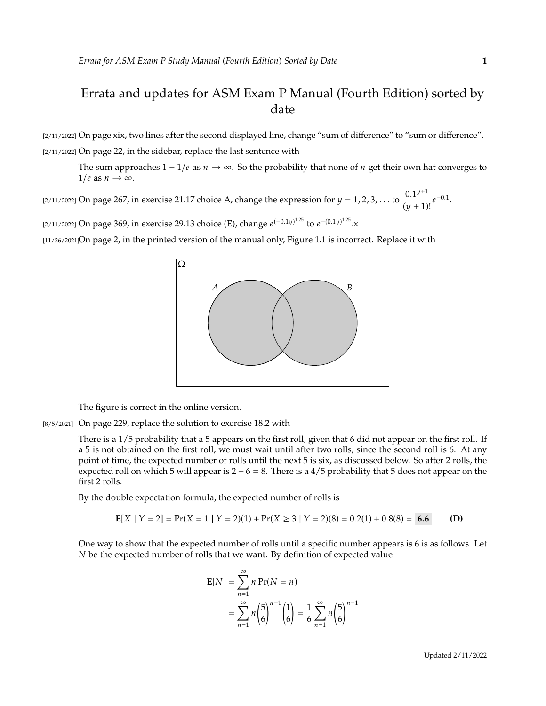## Errata and updates for ASM Exam P Manual (Fourth Edition) sorted by date

[2/11/2022] On page xix, two lines after the second displayed line, change "sum of difference" to "sum or difference". [2/11/2022] On page 22, in the sidebar, replace the last sentence with

The sum approaches  $1 - 1/e$  as  $n \to \infty$ . So the probability that none of *n* get their own hat converges to  $1/e$  as  $n \to \infty$ .

[2/11/2022] On page 267, in exercise 21.17 choice A, change the expression for  $y = 1, 2, 3, ...$  to  $\frac{0.1^{y+1}}{(y+1)}$  $\frac{0.1^{y}}{(y+1)!}e^{-0.1}.$ 

[2/11/2022] On page 369, in exercise 29.13 choice (E), change  $e^{(-0.1y)^{1.25}}$  to  $e^{-(0.1y)^{1.25}}$ .x

[11/26/2021]On page 2, in the printed version of the manual only, Figure 1.1 is incorrect. Replace it with



The figure is correct in the online version.

[8/5/2021] On page 229, replace the solution to exercise 18.2 with

There is a 1/5 probability that a 5 appears on the first roll, given that 6 did not appear on the first roll. If a 5 is not obtained on the first roll, we must wait until after two rolls, since the second roll is 6. At any point of time, the expected number of rolls until the next 5 is six, as discussed below. So after 2 rolls, the expected roll on which 5 will appear is  $2 + 6 = 8$ . There is a 4/5 probability that 5 does not appear on the first 2 rolls.

By the double expectation formula, the expected number of rolls is

$$
E[X \mid Y = 2] = Pr(X = 1 \mid Y = 2)(1) + Pr(X \ge 3 \mid Y = 2)(8) = 0.2(1) + 0.8(8) = 6.6
$$
 (D)

One way to show that the expected number of rolls until a specific number appears is 6 is as follows. Let be the expected number of rolls that we want. By definition of expected value

$$
E[N] = \sum_{n=1}^{\infty} n Pr(N = n)
$$
  
= 
$$
\sum_{n=1}^{\infty} n \left(\frac{5}{6}\right)^{n-1} \left(\frac{1}{6}\right) = \frac{1}{6} \sum_{n=1}^{\infty} n \left(\frac{5}{6}\right)^{n-1}
$$